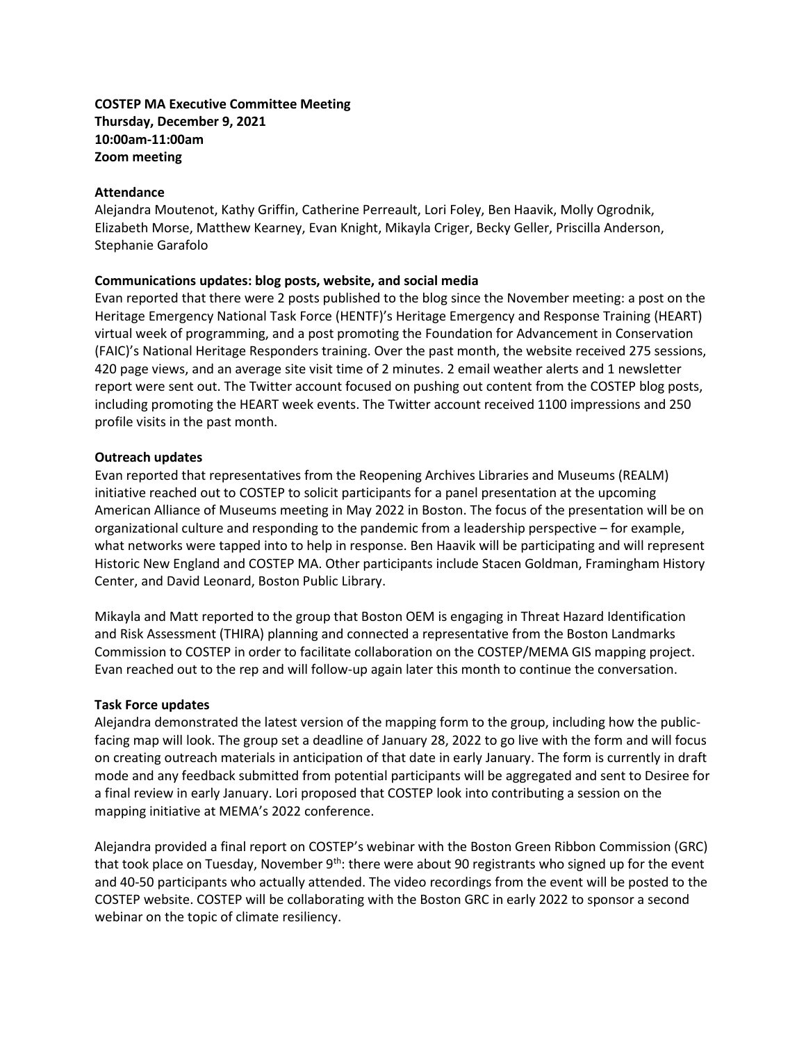# **COSTEP MA Executive Committee Meeting Thursday, December 9, 2021 10:00am-11:00am Zoom meeting**

### **Attendance**

Alejandra Moutenot, Kathy Griffin, Catherine Perreault, Lori Foley, Ben Haavik, Molly Ogrodnik, Elizabeth Morse, Matthew Kearney, Evan Knight, Mikayla Criger, Becky Geller, Priscilla Anderson, Stephanie Garafolo

### **Communications updates: blog posts, website, and social media**

Evan reported that there were 2 posts published to the blog since the November meeting: a post on the Heritage Emergency National Task Force (HENTF)'s Heritage Emergency and Response Training (HEART) virtual week of programming, and a post promoting the Foundation for Advancement in Conservation (FAIC)'s National Heritage Responders training. Over the past month, the website received 275 sessions, 420 page views, and an average site visit time of 2 minutes. 2 email weather alerts and 1 newsletter report were sent out. The Twitter account focused on pushing out content from the COSTEP blog posts, including promoting the HEART week events. The Twitter account received 1100 impressions and 250 profile visits in the past month.

### **Outreach updates**

Evan reported that representatives from the Reopening Archives Libraries and Museums (REALM) initiative reached out to COSTEP to solicit participants for a panel presentation at the upcoming American Alliance of Museums meeting in May 2022 in Boston. The focus of the presentation will be on organizational culture and responding to the pandemic from a leadership perspective – for example, what networks were tapped into to help in response. Ben Haavik will be participating and will represent Historic New England and COSTEP MA. Other participants include Stacen Goldman, Framingham History Center, and David Leonard, Boston Public Library.

Mikayla and Matt reported to the group that Boston OEM is engaging in Threat Hazard Identification and Risk Assessment (THIRA) planning and connected a representative from the Boston Landmarks Commission to COSTEP in order to facilitate collaboration on the COSTEP/MEMA GIS mapping project. Evan reached out to the rep and will follow-up again later this month to continue the conversation.

## **Task Force updates**

Alejandra demonstrated the latest version of the mapping form to the group, including how the publicfacing map will look. The group set a deadline of January 28, 2022 to go live with the form and will focus on creating outreach materials in anticipation of that date in early January. The form is currently in draft mode and any feedback submitted from potential participants will be aggregated and sent to Desiree for a final review in early January. Lori proposed that COSTEP look into contributing a session on the mapping initiative at MEMA's 2022 conference.

Alejandra provided a final report on COSTEP's webinar with the Boston Green Ribbon Commission (GRC) that took place on Tuesday, November  $9<sup>th</sup>$ : there were about 90 registrants who signed up for the event and 40-50 participants who actually attended. The video recordings from the event will be posted to the COSTEP website. COSTEP will be collaborating with the Boston GRC in early 2022 to sponsor a second webinar on the topic of climate resiliency.